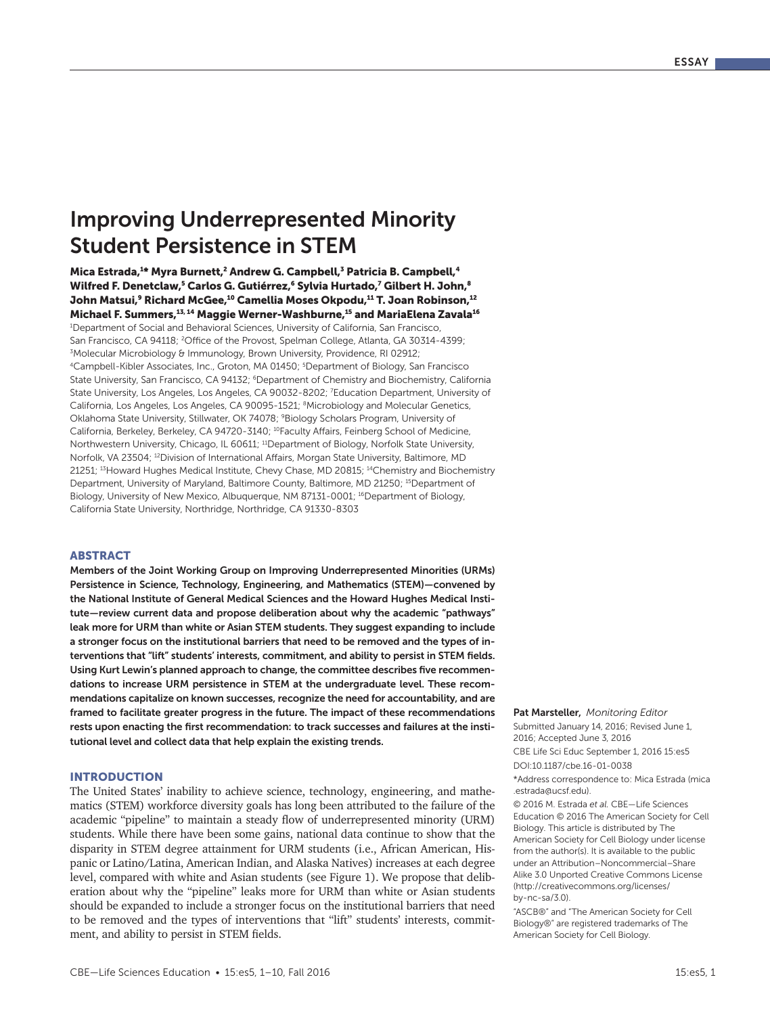# Improving Underrepresented Minority Student Persistence in STEM

Mica Estrada,<sup>1</sup>\* Myra Burnett,<sup>2</sup> Andrew G. Campbell,<sup>3</sup> Patricia B. Campbell,<sup>4</sup> Wilfred F. Denetclaw,<sup>5</sup> Carlos G. Gutiérrez,<sup>6</sup> Sylvia Hurtado,<sup>7</sup> Gilbert H. John,<sup>8</sup> John Matsui,<sup>9</sup> Richard McGee,<sup>10</sup> Camellia Moses Okpodu,<sup>11</sup> T. Joan Robinson,<sup>12</sup> Michael F. Summers,<sup>13, 14</sup> Maggie Werner-Washburne,<sup>15</sup> and MariaElena Zavala<sup>16</sup> 1 Department of Social and Behavioral Sciences, University of California, San Francisco, San Francisco, CA 94118; <sup>2</sup>Office of the Provost, Spelman College, Atlanta, GA 30314-4399; 3 Molecular Microbiology & Immunology, Brown University, Providence, RI 02912; 4Campbell-Kibler Associates, Inc., Groton, MA 01450; 5 Department of Biology, San Francisco State University, San Francisco, CA 94132; <sup>6</sup>Department of Chemistry and Biochemistry, California State University, Los Angeles, Los Angeles, CA 90032-8202; 7 Education Department, University of California, Los Angeles, Los Angeles, CA 90095-1521; 8Microbiology and Molecular Genetics, Oklahoma State University, Stillwater, OK 74078; 9Biology Scholars Program, University of California, Berkeley, Berkeley, CA 94720-3140; 10Faculty Affairs, Feinberg School of Medicine, Northwestern University, Chicago, IL 60611; 11Department of Biology, Norfolk State University, Norfolk, VA 23504; 12Division of International Affairs, Morgan State University, Baltimore, MD 21251; 13Howard Hughes Medical Institute, Chevy Chase, MD 20815; 14Chemistry and Biochemistry Department, University of Maryland, Baltimore County, Baltimore, MD 21250; <sup>15</sup>Department of Biology, University of New Mexico, Albuquerque, NM 87131-0001; <sup>16</sup>Department of Biology, California State University, Northridge, Northridge, CA 91330-8303

### ABSTRACT

Members of the Joint Working Group on Improving Underrepresented Minorities (URMs) Persistence in Science, Technology, Engineering, and Mathematics (STEM)—convened by the National Institute of General Medical Sciences and the Howard Hughes Medical Institute—review current data and propose deliberation about why the academic "pathways" leak more for URM than white or Asian STEM students. They suggest expanding to include a stronger focus on the institutional barriers that need to be removed and the types of interventions that "lift" students' interests, commitment, and ability to persist in STEM fields. Using Kurt Lewin's planned approach to change, the committee describes five recommendations to increase URM persistence in STEM at the undergraduate level. These recommendations capitalize on known successes, recognize the need for accountability, and are framed to facilitate greater progress in the future. The impact of these recommendations rests upon enacting the first recommendation: to track successes and failures at the institutional level and collect data that help explain the existing trends.

## INTRODUCTION

The United States' inability to achieve science, technology, engineering, and mathematics (STEM) workforce diversity goals has long been attributed to the failure of the academic "pipeline" to maintain a steady flow of underrepresented minority (URM) students. While there have been some gains, national data continue to show that the disparity in STEM degree attainment for URM students (i.e., African American, Hispanic or Latino/Latina, American Indian, and Alaska Natives) increases at each degree level, compared with white and Asian students (see Figure 1). We propose that deliberation about why the "pipeline" leaks more for URM than white or Asian students should be expanded to include a stronger focus on the institutional barriers that need to be removed and the types of interventions that "lift" students' interests, commitment, and ability to persist in STEM fields.

#### Pat Marsteller, *Monitoring Editor*

Submitted January 14, 2016; Revised June 1, 2016; Accepted June 3, 2016

CBE Life Sci Educ September 1, 2016 15:es5

DOI:10.1187/cbe.16-01-0038

\*Address correspondence to: Mica Estrada (mica .estrada@ucsf.edu).

© 2016 M. Estrada *et al.* CBE—Life Sciences Education © 2016 The American Society for Cell Biology. This article is distributed by The American Society for Cell Biology under license from the author(s). It is available to the public under an Attribution–Noncommercial–Share Alike 3.0 Unported Creative Commons License (http://creativecommons.org/licenses/ by-nc-sa/3.0).

"ASCB®" and "The American Society for Cell Biology®" are registered trademarks of The American Society for Cell Biology.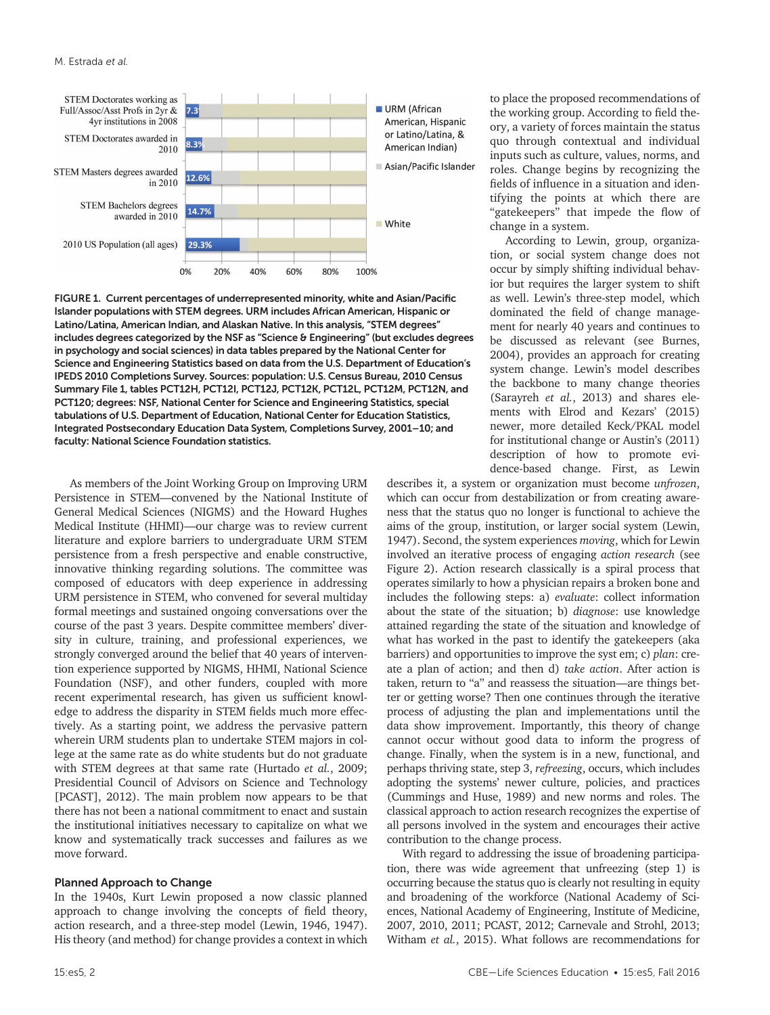

FIGURE 1. Current percentages of underrepresented minority, white and Asian/Pacific Islander populations with STEM degrees. URM includes African American, Hispanic or Latino/Latina, American Indian, and Alaskan Native. In this analysis, "STEM degrees" includes degrees categorized by the NSF as "Science & Engineering" (but excludes degrees in psychology and social sciences) in data tables prepared by the National Center for Science and Engineering Statistics based on data from the U.S. Department of Education's IPEDS 2010 Completions Survey. Sources: population: U.S. Census Bureau, 2010 Census Summary File 1, tables PCT12H, PCT12I, PCT12J, PCT12K, PCT12L, PCT12M, PCT12N, and PCT120; degrees: NSF, National Center for Science and Engineering Statistics, special tabulations of U.S. Department of Education, National Center for Education Statistics, Integrated Postsecondary Education Data System, Completions Survey, 2001–10; and faculty: National Science Foundation statistics.

As members of the Joint Working Group on Improving URM Persistence in STEM—convened by the National Institute of General Medical Sciences (NIGMS) and the Howard Hughes Medical Institute (HHMI)—our charge was to review current literature and explore barriers to undergraduate URM STEM persistence from a fresh perspective and enable constructive, innovative thinking regarding solutions. The committee was composed of educators with deep experience in addressing URM persistence in STEM, who convened for several multiday formal meetings and sustained ongoing conversations over the course of the past 3 years. Despite committee members' diversity in culture, training, and professional experiences, we strongly converged around the belief that 40 years of intervention experience supported by NIGMS, HHMI, National Science Foundation (NSF), and other funders, coupled with more recent experimental research, has given us sufficient knowledge to address the disparity in STEM fields much more effectively. As a starting point, we address the pervasive pattern wherein URM students plan to undertake STEM majors in college at the same rate as do white students but do not graduate with STEM degrees at that same rate (Hurtado *et al.*, 2009; Presidential Council of Advisors on Science and Technology [PCAST], 2012). The main problem now appears to be that there has not been a national commitment to enact and sustain the institutional initiatives necessary to capitalize on what we know and systematically track successes and failures as we move forward.

#### Planned Approach to Change

In the 1940s, Kurt Lewin proposed a now classic planned approach to change involving the concepts of field theory, action research, and a three-step model (Lewin, 1946, 1947). His theory (and method) for change provides a context in which

to place the proposed recommendations of the working group. According to field theory, a variety of forces maintain the status quo through contextual and individual inputs such as culture, values, norms, and roles. Change begins by recognizing the fields of influence in a situation and identifying the points at which there are "gatekeepers" that impede the flow of change in a system.

According to Lewin, group, organization, or social system change does not occur by simply shifting individual behavior but requires the larger system to shift as well. Lewin's three-step model, which dominated the field of change management for nearly 40 years and continues to be discussed as relevant (see Burnes, 2004), provides an approach for creating system change. Lewin's model describes the backbone to many change theories (Sarayreh *et al.*, 2013) and shares elements with Elrod and Kezars' (2015) newer, more detailed Keck/PKAL model for institutional change or Austin's (2011) description of how to promote evidence-based change. First, as Lewin

describes it, a system or organization must become *unfrozen*, which can occur from destabilization or from creating awareness that the status quo no longer is functional to achieve the aims of the group, institution, or larger social system (Lewin, 1947). Second, the system experiences *moving*, which for Lewin involved an iterative process of engaging *action research* (see Figure 2). Action research classically is a spiral process that operates similarly to how a physician repairs a broken bone and includes the following steps: a) *evaluate*: collect information about the state of the situation; b) *diagnose*: use knowledge attained regarding the state of the situation and knowledge of what has worked in the past to identify the gatekeepers (aka barriers) and opportunities to improve the syst em; c) *plan*: create a plan of action; and then d) *take action*. After action is taken, return to "a" and reassess the situation—are things better or getting worse? Then one continues through the iterative process of adjusting the plan and implementations until the data show improvement. Importantly, this theory of change cannot occur without good data to inform the progress of change. Finally, when the system is in a new, functional, and perhaps thriving state, step 3, *refreezing*, occurs, which includes adopting the systems' newer culture, policies, and practices (Cummings and Huse, 1989) and new norms and roles. The classical approach to action research recognizes the expertise of all persons involved in the system and encourages their active contribution to the change process.

With regard to addressing the issue of broadening participation, there was wide agreement that unfreezing (step 1) is occurring because the status quo is clearly not resulting in equity and broadening of the workforce (National Academy of Sciences, National Academy of Engineering, Institute of Medicine, 2007, 2010, 2011; PCAST, 2012; Carnevale and Strohl, 2013; Witham *et al.*, 2015). What follows are recommendations for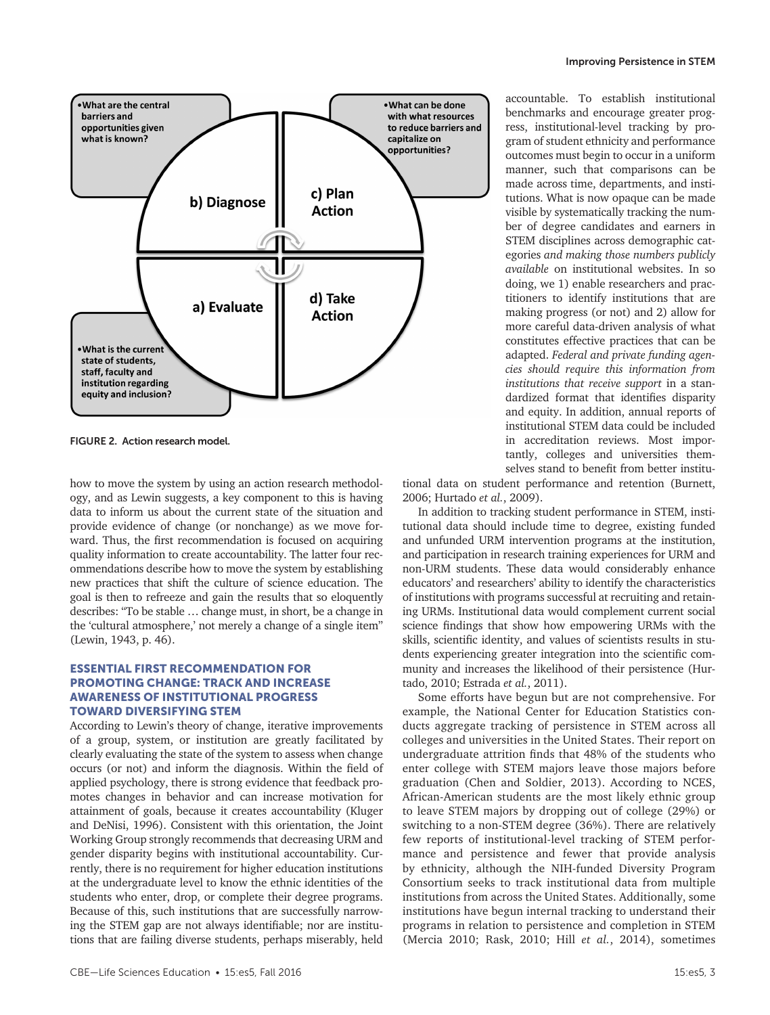

FIGURE 2. Action research model.

how to move the system by using an action research methodology, and as Lewin suggests, a key component to this is having data to inform us about the current state of the situation and provide evidence of change (or nonchange) as we move forward. Thus, the first recommendation is focused on acquiring quality information to create accountability. The latter four recommendations describe how to move the system by establishing new practices that shift the culture of science education. The goal is then to refreeze and gain the results that so eloquently describes: "To be stable … change must, in short, be a change in the 'cultural atmosphere,' not merely a change of a single item" (Lewin, 1943, p. 46).

# ESSENTIAL FIRST RECOMMENDATION FOR PROMOTING CHANGE: TRACK AND INCREASE AWARENESS OF INSTITUTIONAL PROGRESS TOWARD DIVERSIFYING STEM

According to Lewin's theory of change, iterative improvements of a group, system, or institution are greatly facilitated by clearly evaluating the state of the system to assess when change occurs (or not) and inform the diagnosis. Within the field of applied psychology, there is strong evidence that feedback promotes changes in behavior and can increase motivation for attainment of goals, because it creates accountability (Kluger and DeNisi, 1996). Consistent with this orientation, the Joint Working Group strongly recommends that decreasing URM and gender disparity begins with institutional accountability. Currently, there is no requirement for higher education institutions at the undergraduate level to know the ethnic identities of the students who enter, drop, or complete their degree programs. Because of this, such institutions that are successfully narrowing the STEM gap are not always identifiable; nor are institutions that are failing diverse students, perhaps miserably, held

accountable. To establish institutional benchmarks and encourage greater progress, institutional-level tracking by program of student ethnicity and performance outcomes must begin to occur in a uniform manner, such that comparisons can be made across time, departments, and institutions. What is now opaque can be made visible by systematically tracking the number of degree candidates and earners in STEM disciplines across demographic categories *and making those numbers publicly available* on institutional websites. In so doing, we 1) enable researchers and practitioners to identify institutions that are making progress (or not) and 2) allow for more careful data-driven analysis of what constitutes effective practices that can be adapted. *Federal and private funding agencies should require this information from institutions that receive support* in a standardized format that identifies disparity and equity. In addition, annual reports of institutional STEM data could be included in accreditation reviews. Most importantly, colleges and universities themselves stand to benefit from better institu-

Improving Persistence in STEM

tional data on student performance and retention (Burnett, 2006; Hurtado *et al.*, 2009).

In addition to tracking student performance in STEM, institutional data should include time to degree, existing funded and unfunded URM intervention programs at the institution, and participation in research training experiences for URM and non-URM students. These data would considerably enhance educators' and researchers' ability to identify the characteristics of institutions with programs successful at recruiting and retaining URMs. Institutional data would complement current social science findings that show how empowering URMs with the skills, scientific identity, and values of scientists results in students experiencing greater integration into the scientific community and increases the likelihood of their persistence (Hurtado, 2010; Estrada *et al.*, 2011).

Some efforts have begun but are not comprehensive. For example, the National Center for Education Statistics conducts aggregate tracking of persistence in STEM across all colleges and universities in the United States. Their report on undergraduate attrition finds that 48% of the students who enter college with STEM majors leave those majors before graduation (Chen and Soldier, 2013). According to NCES, African-American students are the most likely ethnic group to leave STEM majors by dropping out of college (29%) or switching to a non-STEM degree (36%). There are relatively few reports of institutional-level tracking of STEM performance and persistence and fewer that provide analysis by ethnicity, although the NIH-funded Diversity Program Consortium seeks to track institutional data from multiple institutions from across the United States. Additionally, some institutions have begun internal tracking to understand their programs in relation to persistence and completion in STEM (Mercia 2010; Rask, 2010; Hill *et al.*, 2014), sometimes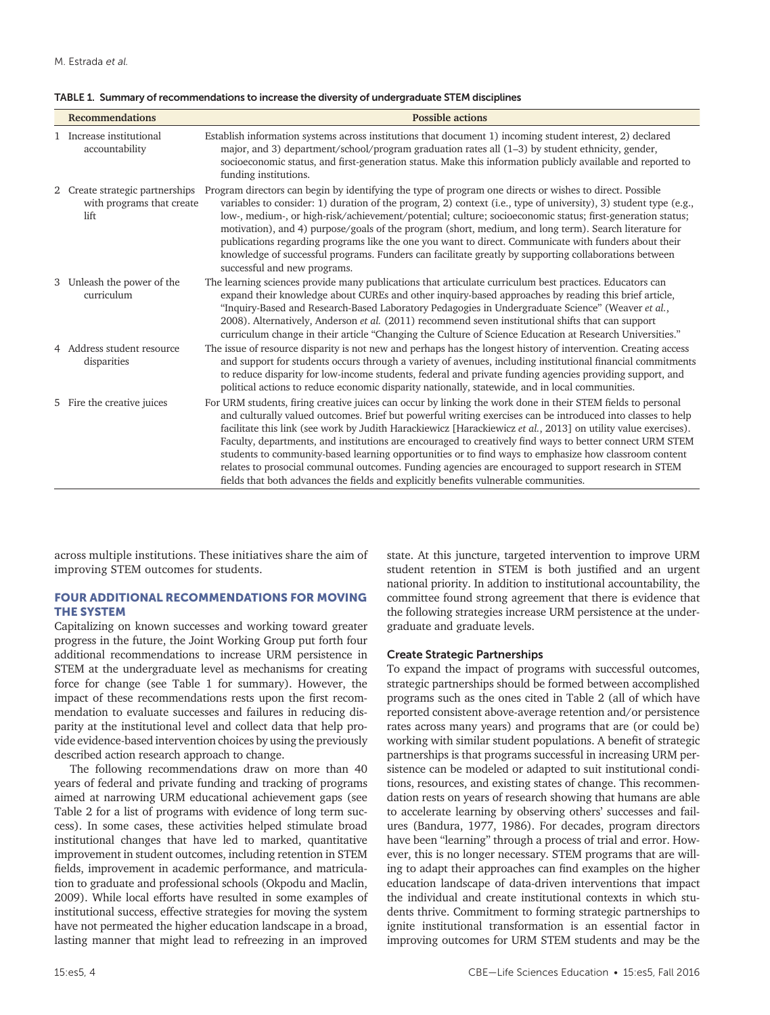| TABLE 1. Summary of recommendations to increase the diversity of undergraduate STEM disciplines |  |
|-------------------------------------------------------------------------------------------------|--|
|-------------------------------------------------------------------------------------------------|--|

| <b>Recommendations</b>                                               | <b>Possible actions</b>                                                                                                                                                                                                                                                                                                                                                                                                                                                                                                                                                                                                                                                                                                                                           |
|----------------------------------------------------------------------|-------------------------------------------------------------------------------------------------------------------------------------------------------------------------------------------------------------------------------------------------------------------------------------------------------------------------------------------------------------------------------------------------------------------------------------------------------------------------------------------------------------------------------------------------------------------------------------------------------------------------------------------------------------------------------------------------------------------------------------------------------------------|
| 1 Increase institutional<br>accountability                           | Establish information systems across institutions that document 1) incoming student interest, 2) declared<br>major, and 3) department/school/program graduation rates all (1-3) by student ethnicity, gender,<br>socioeconomic status, and first-generation status. Make this information publicly available and reported to<br>funding institutions.                                                                                                                                                                                                                                                                                                                                                                                                             |
| 2 Create strategic partnerships<br>with programs that create<br>lift | Program directors can begin by identifying the type of program one directs or wishes to direct. Possible<br>variables to consider: 1) duration of the program, 2) context (i.e., type of university), 3) student type (e.g.,<br>low-, medium-, or high-risk/achievement/potential; culture; socioeconomic status; first-generation status;<br>motivation), and 4) purpose/goals of the program (short, medium, and long term). Search literature for<br>publications regarding programs like the one you want to direct. Communicate with funders about their<br>knowledge of successful programs. Funders can facilitate greatly by supporting collaborations between<br>successful and new programs.                                                            |
| 3 Unleash the power of the<br>curriculum                             | The learning sciences provide many publications that articulate curriculum best practices. Educators can<br>expand their knowledge about CUREs and other inquiry-based approaches by reading this brief article,<br>"Inquiry-Based and Research-Based Laboratory Pedagogies in Undergraduate Science" (Weaver et al.,<br>2008). Alternatively, Anderson et al. (2011) recommend seven institutional shifts that can support<br>curriculum change in their article "Changing the Culture of Science Education at Research Universities."                                                                                                                                                                                                                           |
| 4 Address student resource<br>disparities                            | The issue of resource disparity is not new and perhaps has the longest history of intervention. Creating access<br>and support for students occurs through a variety of avenues, including institutional financial commitments<br>to reduce disparity for low-income students, federal and private funding agencies providing support, and<br>political actions to reduce economic disparity nationally, statewide, and in local communities.                                                                                                                                                                                                                                                                                                                     |
| 5 Fire the creative juices                                           | For URM students, firing creative juices can occur by linking the work done in their STEM fields to personal<br>and culturally valued outcomes. Brief but powerful writing exercises can be introduced into classes to help<br>facilitate this link (see work by Judith Harackiewicz [Harackiewicz et al., 2013] on utility value exercises).<br>Faculty, departments, and institutions are encouraged to creatively find ways to better connect URM STEM<br>students to community-based learning opportunities or to find ways to emphasize how classroom content<br>relates to prosocial communal outcomes. Funding agencies are encouraged to support research in STEM<br>fields that both advances the fields and explicitly benefits vulnerable communities. |

across multiple institutions. These initiatives share the aim of improving STEM outcomes for students.

# FOUR ADDITIONAL RECOMMENDATIONS FOR MOVING THE SYSTEM

Capitalizing on known successes and working toward greater progress in the future, the Joint Working Group put forth four additional recommendations to increase URM persistence in STEM at the undergraduate level as mechanisms for creating force for change (see Table 1 for summary). However, the impact of these recommendations rests upon the first recommendation to evaluate successes and failures in reducing disparity at the institutional level and collect data that help provide evidence-based intervention choices by using the previously described action research approach to change.

The following recommendations draw on more than 40 years of federal and private funding and tracking of programs aimed at narrowing URM educational achievement gaps (see Table 2 for a list of programs with evidence of long term success). In some cases, these activities helped stimulate broad institutional changes that have led to marked, quantitative improvement in student outcomes, including retention in STEM fields, improvement in academic performance, and matriculation to graduate and professional schools (Okpodu and Maclin, 2009). While local efforts have resulted in some examples of institutional success, effective strategies for moving the system have not permeated the higher education landscape in a broad, lasting manner that might lead to refreezing in an improved

state. At this juncture, targeted intervention to improve URM student retention in STEM is both justified and an urgent national priority. In addition to institutional accountability, the committee found strong agreement that there is evidence that the following strategies increase URM persistence at the undergraduate and graduate levels.

## Create Strategic Partnerships

To expand the impact of programs with successful outcomes, strategic partnerships should be formed between accomplished programs such as the ones cited in Table 2 (all of which have reported consistent above-average retention and/or persistence rates across many years) and programs that are (or could be) working with similar student populations. A benefit of strategic partnerships is that programs successful in increasing URM persistence can be modeled or adapted to suit institutional conditions, resources, and existing states of change. This recommendation rests on years of research showing that humans are able to accelerate learning by observing others' successes and failures (Bandura, 1977, 1986). For decades, program directors have been "learning" through a process of trial and error. However, this is no longer necessary. STEM programs that are willing to adapt their approaches can find examples on the higher education landscape of data-driven interventions that impact the individual and create institutional contexts in which students thrive. Commitment to forming strategic partnerships to ignite institutional transformation is an essential factor in improving outcomes for URM STEM students and may be the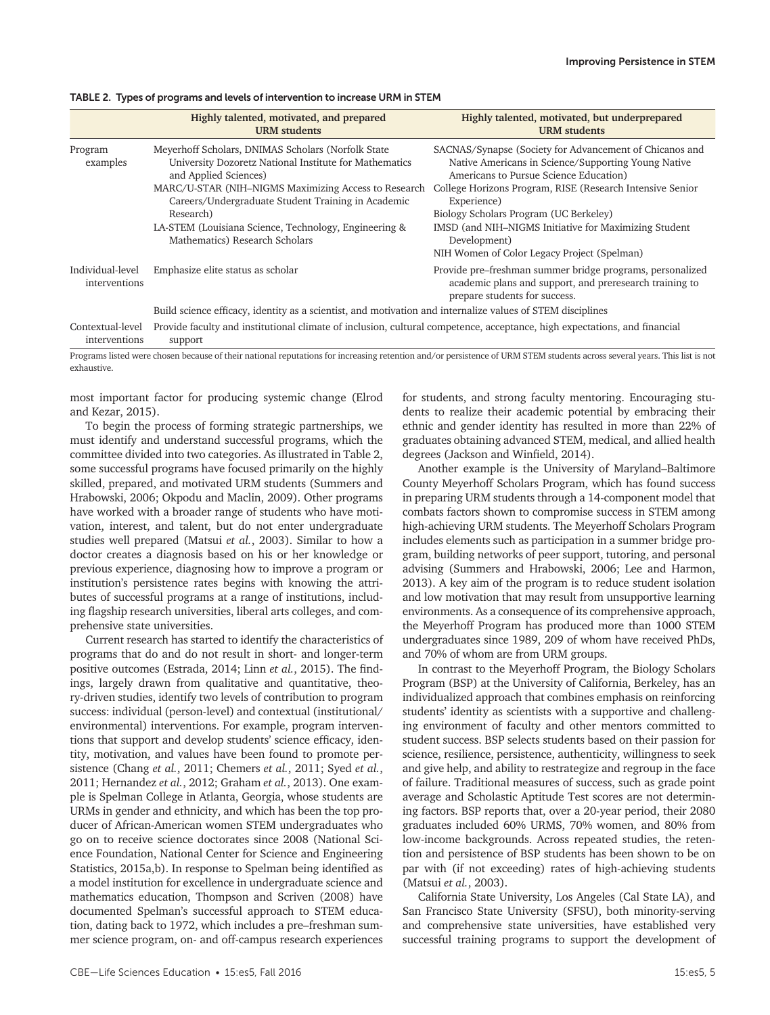|                                   | Highly talented, motivated, and prepared<br><b>URM</b> students                                                                                                                                                                                                                                                                                             | Highly talented, motivated, but underprepared<br><b>URM</b> students                                                                                                                                                                                                                                                                                                                                   |  |
|-----------------------------------|-------------------------------------------------------------------------------------------------------------------------------------------------------------------------------------------------------------------------------------------------------------------------------------------------------------------------------------------------------------|--------------------------------------------------------------------------------------------------------------------------------------------------------------------------------------------------------------------------------------------------------------------------------------------------------------------------------------------------------------------------------------------------------|--|
| Program<br>examples               | Meyerhoff Scholars, DNIMAS Scholars (Norfolk State<br>University Dozoretz National Institute for Mathematics<br>and Applied Sciences)<br>MARC/U-STAR (NIH-NIGMS Maximizing Access to Research<br>Careers/Undergraduate Student Training in Academic<br>Research)<br>LA-STEM (Louisiana Science, Technology, Engineering &<br>Mathematics) Research Scholars | SACNAS/Synapse (Society for Advancement of Chicanos and<br>Native Americans in Science/Supporting Young Native<br>Americans to Pursue Science Education)<br>College Horizons Program, RISE (Research Intensive Senior<br>Experience)<br>Biology Scholars Program (UC Berkeley)<br>IMSD (and NIH-NIGMS Initiative for Maximizing Student<br>Development)<br>NIH Women of Color Legacy Project (Spelman) |  |
| Individual-level<br>interventions | Emphasize elite status as scholar                                                                                                                                                                                                                                                                                                                           | Provide pre–freshman summer bridge programs, personalized<br>academic plans and support, and preresearch training to<br>prepare students for success.                                                                                                                                                                                                                                                  |  |
|                                   | Build science efficacy, identity as a scientist, and motivation and internalize values of STEM disciplines                                                                                                                                                                                                                                                  |                                                                                                                                                                                                                                                                                                                                                                                                        |  |
| Contextual-level<br>interventions | Provide faculty and institutional climate of inclusion, cultural competence, acceptance, high expectations, and financial<br>support                                                                                                                                                                                                                        |                                                                                                                                                                                                                                                                                                                                                                                                        |  |

TABLE 2. Types of programs and levels of intervention to increase URM in STEM

Programs listed were chosen because of their national reputations for increasing retention and/or persistence of URM STEM students across several years. This list is not exhaustive.

most important factor for producing systemic change (Elrod and Kezar, 2015).

To begin the process of forming strategic partnerships, we must identify and understand successful programs, which the committee divided into two categories. As illustrated in Table 2, some successful programs have focused primarily on the highly skilled, prepared, and motivated URM students (Summers and Hrabowski, 2006; Okpodu and Maclin, 2009). Other programs have worked with a broader range of students who have motivation, interest, and talent, but do not enter undergraduate studies well prepared (Matsui *et al.*, 2003). Similar to how a doctor creates a diagnosis based on his or her knowledge or previous experience, diagnosing how to improve a program or institution's persistence rates begins with knowing the attributes of successful programs at a range of institutions, including flagship research universities, liberal arts colleges, and comprehensive state universities.

Current research has started to identify the characteristics of programs that do and do not result in short- and longer-term positive outcomes (Estrada, 2014; Linn *et al.*, 2015). The findings, largely drawn from qualitative and quantitative, theory-driven studies, identify two levels of contribution to program success: individual (person-level) and contextual (institutional/ environmental) interventions. For example, program interventions that support and develop students' science efficacy, identity, motivation, and values have been found to promote persistence (Chang *et al.*, 2011; Chemers *et al.*, 2011; Syed *et al.*, 2011; Hernandez *et al.*, 2012; Graham *et al.*, 2013). One example is Spelman College in Atlanta, Georgia, whose students are URMs in gender and ethnicity, and which has been the top producer of African-American women STEM undergraduates who go on to receive science doctorates since 2008 (National Science Foundation, National Center for Science and Engineering Statistics, 2015a,b). In response to Spelman being identified as a model institution for excellence in undergraduate science and mathematics education, Thompson and Scriven (2008) have documented Spelman's successful approach to STEM education, dating back to 1972, which includes a pre–freshman summer science program, on- and off-campus research experiences for students, and strong faculty mentoring. Encouraging students to realize their academic potential by embracing their ethnic and gender identity has resulted in more than 22% of graduates obtaining advanced STEM, medical, and allied health degrees (Jackson and Winfield, 2014).

Another example is the University of Maryland–Baltimore County Meyerhoff Scholars Program, which has found success in preparing URM students through a 14-component model that combats factors shown to compromise success in STEM among high-achieving URM students. The Meyerhoff Scholars Program includes elements such as participation in a summer bridge program, building networks of peer support, tutoring, and personal advising (Summers and Hrabowski, 2006; Lee and Harmon, 2013). A key aim of the program is to reduce student isolation and low motivation that may result from unsupportive learning environments. As a consequence of its comprehensive approach, the Meyerhoff Program has produced more than 1000 STEM undergraduates since 1989, 209 of whom have received PhDs, and 70% of whom are from URM groups.

In contrast to the Meyerhoff Program, the Biology Scholars Program (BSP) at the University of California, Berkeley, has an individualized approach that combines emphasis on reinforcing students' identity as scientists with a supportive and challenging environment of faculty and other mentors committed to student success. BSP selects students based on their passion for science, resilience, persistence, authenticity, willingness to seek and give help, and ability to restrategize and regroup in the face of failure. Traditional measures of success, such as grade point average and Scholastic Aptitude Test scores are not determining factors. BSP reports that, over a 20-year period, their 2080 graduates included 60% URMS, 70% women, and 80% from low-income backgrounds. Across repeated studies, the retention and persistence of BSP students has been shown to be on par with (if not exceeding) rates of high-achieving students (Matsui *et al.*, 2003).

California State University, Los Angeles (Cal State LA), and San Francisco State University (SFSU), both minority-serving and comprehensive state universities, have established very successful training programs to support the development of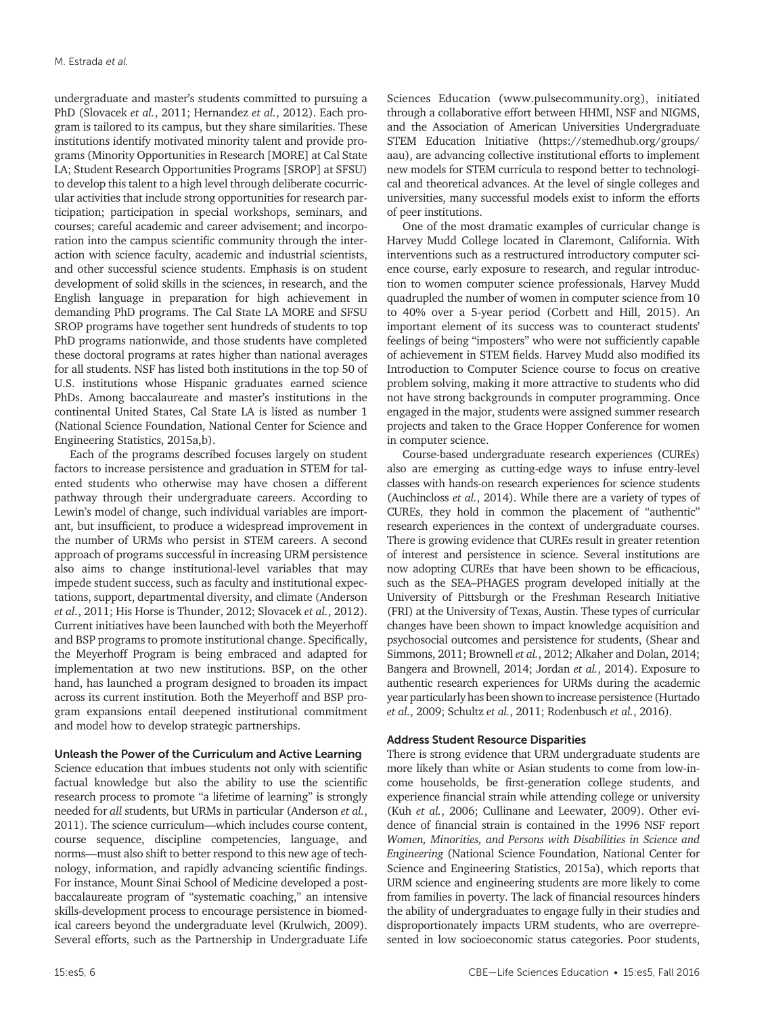undergraduate and master's students committed to pursuing a PhD (Slovacek *et al.*, 2011; Hernandez *et al.*, 2012). Each program is tailored to its campus, but they share similarities. These institutions identify motivated minority talent and provide programs (Minority Opportunities in Research [MORE] at Cal State LA; Student Research Opportunities Programs [SROP] at SFSU) to develop this talent to a high level through deliberate cocurricular activities that include strong opportunities for research participation; participation in special workshops, seminars, and courses; careful academic and career advisement; and incorporation into the campus scientific community through the interaction with science faculty, academic and industrial scientists, and other successful science students. Emphasis is on student development of solid skills in the sciences, in research, and the English language in preparation for high achievement in demanding PhD programs. The Cal State LA MORE and SFSU SROP programs have together sent hundreds of students to top PhD programs nationwide, and those students have completed these doctoral programs at rates higher than national averages for all students. NSF has listed both institutions in the top 50 of U.S. institutions whose Hispanic graduates earned science PhDs. Among baccalaureate and master's institutions in the continental United States, Cal State LA is listed as number 1 (National Science Foundation, National Center for Science and Engineering Statistics, 2015a,b).

Each of the programs described focuses largely on student factors to increase persistence and graduation in STEM for talented students who otherwise may have chosen a different pathway through their undergraduate careers. According to Lewin's model of change, such individual variables are important, but insufficient, to produce a widespread improvement in the number of URMs who persist in STEM careers. A second approach of programs successful in increasing URM persistence also aims to change institutional-level variables that may impede student success, such as faculty and institutional expectations, support, departmental diversity, and climate (Anderson *et al.*, 2011; His Horse is Thunder, 2012; Slovacek *et al.*, 2012). Current initiatives have been launched with both the Meyerhoff and BSP programs to promote institutional change. Specifically, the Meyerhoff Program is being embraced and adapted for implementation at two new institutions. BSP, on the other hand, has launched a program designed to broaden its impact across its current institution. Both the Meyerhoff and BSP program expansions entail deepened institutional commitment and model how to develop strategic partnerships.

## Unleash the Power of the Curriculum and Active Learning

Science education that imbues students not only with scientific factual knowledge but also the ability to use the scientific research process to promote "a lifetime of learning" is strongly needed for *all* students, but URMs in particular (Anderson *et al.*, 2011). The science curriculum—which includes course content, course sequence, discipline competencies, language, and norms—must also shift to better respond to this new age of technology, information, and rapidly advancing scientific findings. For instance, Mount Sinai School of Medicine developed a postbaccalaureate program of "systematic coaching," an intensive skills-development process to encourage persistence in biomedical careers beyond the undergraduate level (Krulwich, 2009). Several efforts, such as the Partnership in Undergraduate Life Sciences Education (www.pulsecommunity.org), initiated through a collaborative effort between HHMI, NSF and NIGMS, and the Association of American Universities Undergraduate STEM Education Initiative (https://stemedhub.org/groups/ aau), are advancing collective institutional efforts to implement new models for STEM curricula to respond better to technological and theoretical advances. At the level of single colleges and universities, many successful models exist to inform the efforts of peer institutions.

One of the most dramatic examples of curricular change is Harvey Mudd College located in Claremont, California. With interventions such as a restructured introductory computer science course, early exposure to research, and regular introduction to women computer science professionals, Harvey Mudd quadrupled the number of women in computer science from 10 to 40% over a 5-year period (Corbett and Hill, 2015). An important element of its success was to counteract students' feelings of being "imposters" who were not sufficiently capable of achievement in STEM fields. Harvey Mudd also modified its Introduction to Computer Science course to focus on creative problem solving, making it more attractive to students who did not have strong backgrounds in computer programming. Once engaged in the major, students were assigned summer research projects and taken to the Grace Hopper Conference for women in computer science.

Course-based undergraduate research experiences (CUREs) also are emerging as cutting-edge ways to infuse entry-level classes with hands-on research experiences for science students (Auchincloss *et al.*, 2014). While there are a variety of types of CUREs, they hold in common the placement of "authentic" research experiences in the context of undergraduate courses. There is growing evidence that CUREs result in greater retention of interest and persistence in science. Several institutions are now adopting CUREs that have been shown to be efficacious, such as the SEA–PHAGES program developed initially at the University of Pittsburgh or the Freshman Research Initiative (FRI) at the University of Texas, Austin. These types of curricular changes have been shown to impact knowledge acquisition and psychosocial outcomes and persistence for students, (Shear and Simmons, 2011; Brownell *et al.*, 2012; Alkaher and Dolan, 2014; Bangera and Brownell, 2014; Jordan *et al.*, 2014). Exposure to authentic research experiences for URMs during the academic year particularly has been shown to increase persistence (Hurtado *et al.*, 2009; Schultz *et al.*, 2011; Rodenbusch *et al.*, 2016).

# Address Student Resource Disparities

There is strong evidence that URM undergraduate students are more likely than white or Asian students to come from low-income households, be first-generation college students, and experience financial strain while attending college or university (Kuh *et al.*, 2006; Cullinane and Leewater, 2009). Other evidence of financial strain is contained in the 1996 NSF report *Women, Minorities, and Persons with Disabilities in Science and Engineering* (National Science Foundation, National Center for Science and Engineering Statistics, 2015a), which reports that URM science and engineering students are more likely to come from families in poverty. The lack of financial resources hinders the ability of undergraduates to engage fully in their studies and disproportionately impacts URM students, who are overrepresented in low socioeconomic status categories. Poor students,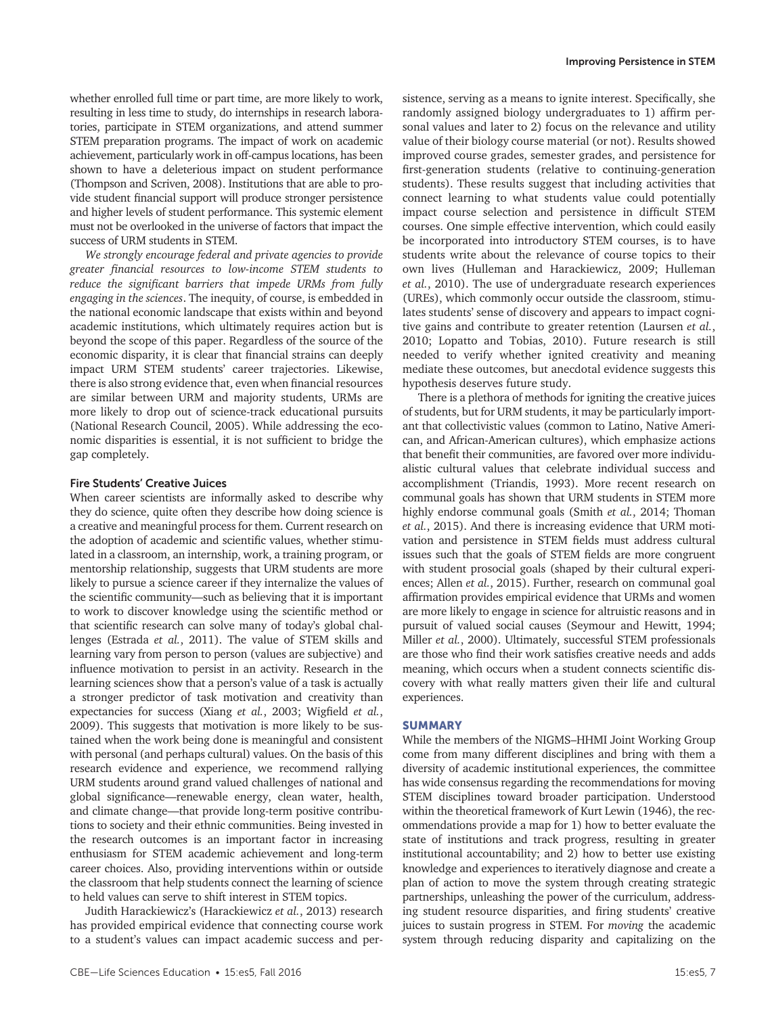whether enrolled full time or part time, are more likely to work, resulting in less time to study, do internships in research laboratories, participate in STEM organizations, and attend summer STEM preparation programs. The impact of work on academic achievement, particularly work in off-campus locations, has been shown to have a deleterious impact on student performance (Thompson and Scriven, 2008). Institutions that are able to provide student financial support will produce stronger persistence and higher levels of student performance. This systemic element must not be overlooked in the universe of factors that impact the success of URM students in STEM.

*We strongly encourage federal and private agencies to provide greater financial resources to low-income STEM students to reduce the significant barriers that impede URMs from fully engaging in the sciences*. The inequity, of course, is embedded in the national economic landscape that exists within and beyond academic institutions, which ultimately requires action but is beyond the scope of this paper. Regardless of the source of the economic disparity, it is clear that financial strains can deeply impact URM STEM students' career trajectories. Likewise, there is also strong evidence that, even when financial resources are similar between URM and majority students, URMs are more likely to drop out of science-track educational pursuits (National Research Council, 2005). While addressing the economic disparities is essential, it is not sufficient to bridge the gap completely.

#### Fire Students' Creative Juices

When career scientists are informally asked to describe why they do science, quite often they describe how doing science is a creative and meaningful process for them. Current research on the adoption of academic and scientific values, whether stimulated in a classroom, an internship, work, a training program, or mentorship relationship, suggests that URM students are more likely to pursue a science career if they internalize the values of the scientific community—such as believing that it is important to work to discover knowledge using the scientific method or that scientific research can solve many of today's global challenges (Estrada *et al.*, 2011). The value of STEM skills and learning vary from person to person (values are subjective) and influence motivation to persist in an activity. Research in the learning sciences show that a person's value of a task is actually a stronger predictor of task motivation and creativity than expectancies for success (Xiang *et al.*, 2003; Wigfield *et al.*, 2009). This suggests that motivation is more likely to be sustained when the work being done is meaningful and consistent with personal (and perhaps cultural) values. On the basis of this research evidence and experience, we recommend rallying URM students around grand valued challenges of national and global significance—renewable energy, clean water, health, and climate change—that provide long-term positive contributions to society and their ethnic communities. Being invested in the research outcomes is an important factor in increasing enthusiasm for STEM academic achievement and long-term career choices. Also, providing interventions within or outside the classroom that help students connect the learning of science to held values can serve to shift interest in STEM topics.

Judith Harackiewicz's (Harackiewicz *et al.*, 2013) research has provided empirical evidence that connecting course work to a student's values can impact academic success and per-

sistence, serving as a means to ignite interest. Specifically, she randomly assigned biology undergraduates to 1) affirm personal values and later to 2) focus on the relevance and utility value of their biology course material (or not). Results showed improved course grades, semester grades, and persistence for first-generation students (relative to continuing-generation students). These results suggest that including activities that connect learning to what students value could potentially impact course selection and persistence in difficult STEM courses. One simple effective intervention, which could easily be incorporated into introductory STEM courses, is to have students write about the relevance of course topics to their own lives (Hulleman and Harackiewicz, 2009; Hulleman *et al.*, 2010). The use of undergraduate research experiences (UREs), which commonly occur outside the classroom, stimulates students' sense of discovery and appears to impact cognitive gains and contribute to greater retention (Laursen *et al.*, 2010; Lopatto and Tobias, 2010). Future research is still needed to verify whether ignited creativity and meaning mediate these outcomes, but anecdotal evidence suggests this hypothesis deserves future study.

There is a plethora of methods for igniting the creative juices of students, but for URM students, it may be particularly important that collectivistic values (common to Latino, Native American, and African-American cultures), which emphasize actions that benefit their communities, are favored over more individualistic cultural values that celebrate individual success and accomplishment (Triandis, 1993). More recent research on communal goals has shown that URM students in STEM more highly endorse communal goals (Smith *et al.*, 2014; Thoman *et al.*, 2015). And there is increasing evidence that URM motivation and persistence in STEM fields must address cultural issues such that the goals of STEM fields are more congruent with student prosocial goals (shaped by their cultural experiences; Allen *et al.*, 2015). Further, research on communal goal affirmation provides empirical evidence that URMs and women are more likely to engage in science for altruistic reasons and in pursuit of valued social causes (Seymour and Hewitt, 1994; Miller *et al.*, 2000). Ultimately, successful STEM professionals are those who find their work satisfies creative needs and adds meaning, which occurs when a student connects scientific discovery with what really matters given their life and cultural experiences.

#### SUMMARY

While the members of the NIGMS–HHMI Joint Working Group come from many different disciplines and bring with them a diversity of academic institutional experiences, the committee has wide consensus regarding the recommendations for moving STEM disciplines toward broader participation. Understood within the theoretical framework of Kurt Lewin (1946), the recommendations provide a map for 1) how to better evaluate the state of institutions and track progress, resulting in greater institutional accountability; and 2) how to better use existing knowledge and experiences to iteratively diagnose and create a plan of action to move the system through creating strategic partnerships, unleashing the power of the curriculum, addressing student resource disparities, and firing students' creative juices to sustain progress in STEM. For *moving* the academic system through reducing disparity and capitalizing on the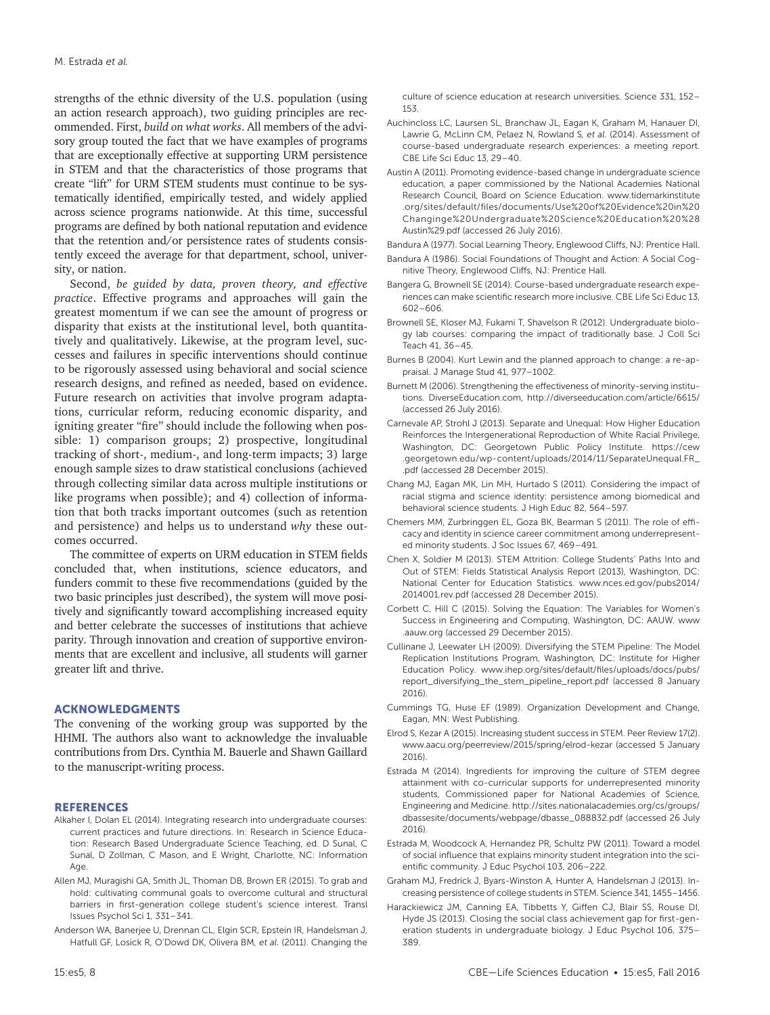strengths of the ethnic diversity of the U.S. population (using an action research approach), two guiding principles are recommended. First, *build on what works*. All members of the advisory group touted the fact that we have examples of programs that are exceptionally effective at supporting URM persistence in STEM and that the characteristics of those programs that create "lift" for URM STEM students must continue to be systematically identified, empirically tested, and widely applied across science programs nationwide. At this time, successful programs are defined by both national reputation and evidence that the retention and/or persistence rates of students consistently exceed the average for that department, school, university, or nation.

Second, *be guided by data, proven theory, and effective practice*. Effective programs and approaches will gain the greatest momentum if we can see the amount of progress or disparity that exists at the institutional level, both quantitatively and qualitatively. Likewise, at the program level, successes and failures in specific interventions should continue to be rigorously assessed using behavioral and social science research designs, and refined as needed, based on evidence. Future research on activities that involve program adaptations, curricular reform, reducing economic disparity, and igniting greater "fire" should include the following when possible: 1) comparison groups; 2) prospective, longitudinal tracking of short-, medium-, and long-term impacts; 3) large enough sample sizes to draw statistical conclusions (achieved through collecting similar data across multiple institutions or like programs when possible); and 4) collection of information that both tracks important outcomes (such as retention and persistence) and helps us to understand *why* these outcomes occurred.

The committee of experts on URM education in STEM fields concluded that, when institutions, science educators, and funders commit to these five recommendations (guided by the two basic principles just described), the system will move positively and significantly toward accomplishing increased equity and better celebrate the successes of institutions that achieve parity. Through innovation and creation of supportive environments that are excellent and inclusive, all students will garner greater lift and thrive.

### ACKNOWLEDGMENTS

The convening of the working group was supported by the HHMI. The authors also want to acknowledge the invaluable contributions from Drs. Cynthia M. Bauerle and Shawn Gaillard to the manuscript-writing process.

#### REFERENCES

- Alkaher I, Dolan EL (2014). Integrating research into undergraduate courses: current practices and future directions. In: Research in Science Education: Research Based Undergraduate Science Teaching, ed. D Sunal, C Sunal, D Zollman, C Mason, and E Wright, Charlotte, NC: Information Age.
- Allen MJ, Muragishi GA, Smith JL, Thoman DB, Brown ER (2015). To grab and hold: cultivating communal goals to overcome cultural and structural barriers in first-generation college student's science interest. Transl Issues Psychol Sci 1, 331–341.
- Anderson WA, Banerjee U, Drennan CL, Elgin SCR, Epstein IR, Handelsman J, Hatfull GF, Losick R, O'Dowd DK, Olivera BM*, et al.* (2011). Changing the

culture of science education at research universities. Science 331, 152– 153.

- Auchincloss LC, Laursen SL, Branchaw JL, Eagan K, Graham M, Hanauer DI, Lawrie G, McLinn CM, Pelaez N, Rowland S*, et al.* (2014). Assessment of course-based undergraduate research experiences: a meeting report. CBE Life Sci Educ 13, 29–40.
- Austin A (2011). Promoting evidence-based change in undergraduate science education, a paper commissioned by the National Academies National Research Council, Board on Science Education. [www.tidemarkinstitute](http://www.tidemarkinstitute.org/sites/default/files/documents/Use%20of%20Evidence%20in%20Changinge%20Undergraduate%20Science%20Education%20%28Austin%29.pdf) [.org/sites/default/files/documents/Use%20of%20Evidence%20in%20](http://www.tidemarkinstitute.org/sites/default/files/documents/Use%20of%20Evidence%20in%20Changinge%20Undergraduate%20Science%20Education%20%28Austin%29.pdf) [Changinge%20Undergraduate%20Science%20Education%20%28](http://www.tidemarkinstitute.org/sites/default/files/documents/Use%20of%20Evidence%20in%20Changinge%20Undergraduate%20Science%20Education%20%28Austin%29.pdf) [Austin%29.pdf](http://www.tidemarkinstitute.org/sites/default/files/documents/Use%20of%20Evidence%20in%20Changinge%20Undergraduate%20Science%20Education%20%28Austin%29.pdf) (accessed 26 July 2016).
- Bandura A (1977). Social Learning Theory, Englewood Cliffs, NJ: Prentice Hall.
- Bandura A (1986). Social Foundations of Thought and Action: A Social Cognitive Theory, Englewood Cliffs, NJ: Prentice Hall.
- Bangera G, Brownell SE (2014). Course-based undergraduate research experiences can make scientific research more inclusive. CBE Life Sci Educ 13, 602–606.
- Brownell SE, Kloser MJ, Fukami T, Shavelson R (2012). Undergraduate biology lab courses: comparing the impact of traditionally base. J Coll Sci Teach 41, 36–45.
- Burnes B (2004). Kurt Lewin and the planned approach to change: a re-appraisal. J Manage Stud 41, 977–1002.
- Burnett M (2006). Strengthening the effectiveness of minority-serving institutions. DiverseEducation.com, <http://diverseeducation.com/article/6615/> (accessed 26 July 2016).
- Carnevale AP, Strohl J (2013). Separate and Unequal: How Higher Education Reinforces the Intergenerational Reproduction of White Racial Privilege, Washington, DC: Georgetown Public Policy Institute. [https://cew](https://cew.georgetown.edu/wp-content/uploads/2014/11/SeparateUnequal.FR_.pdf) [.georgetown.edu/wp-content/uploads/2014/11/SeparateUnequal.FR\\_](https://cew.georgetown.edu/wp-content/uploads/2014/11/SeparateUnequal.FR_.pdf) [.pdf](https://cew.georgetown.edu/wp-content/uploads/2014/11/SeparateUnequal.FR_.pdf) (accessed 28 December 2015).
- Chang MJ, Eagan MK, Lin MH, Hurtado S (2011). Considering the impact of racial stigma and science identity: persistence among biomedical and behavioral science students. J High Educ 82, 564–597.
- Chemers MM, Zurbringgen EL, Goza BK, Bearman S (2011). The role of efficacy and identity in science career commitment among underrepresented minority students. J Soc Issues 67, 469–491.
- Chen X, Soldier M (2013). STEM Attrition: College Students' Paths Into and Out of STEM: Fields Statistical Analysis Report (2013), Washington, DC: National Center for Education Statistics. [www.nces.ed.gov/pubs2014/](http://www.nces.ed.gov/pubs2014/2014001.rev.pdf) [2014001.rev.pdf](http://www.nces.ed.gov/pubs2014/2014001.rev.pdf) (accessed 28 December 2015).
- Corbett C, Hill C (2015). Solving the Equation: The Variables for Women's Success in Engineering and Computing, Washington, DC: AAUW. [www](http://www.aauw.org) [.aauw.org](http://www.aauw.org) (accessed 29 December 2015).
- Cullinane J, Leewater LH (2009). Diversifying the STEM Pipeline: The Model Replication Institutions Program, Washington, DC: Institute for Higher Education Policy. [www.ihep.org/sites/default/files/uploads/docs/pubs/](http://www.ihep.org/sites/default/files/uploads/docs/pubs/report_diversifying_the_stem_pipeline_report.pdf) [report\\_diversifying\\_the\\_stem\\_pipeline\\_report.pdf](http://www.ihep.org/sites/default/files/uploads/docs/pubs/report_diversifying_the_stem_pipeline_report.pdf) (accessed 8 January 2016).
- Cummings TG, Huse EF (1989). Organization Development and Change, Eagan, MN: West Publishing.
- Elrod S, Kezar A (2015). Increasing student success in STEM. Peer Review 17(2). www.aacu.org/peerreview/2015/spring/elrod-kezar (accessed 5 January 2016).
- Estrada M (2014). Ingredients for improving the culture of STEM degree attainment with co-curricular supports for underrepresented minority students, Commissioned paper for National Academies of Science, Engineering and Medicine. [http://sites.nationalacademies.org/cs/groups/](http://sites.nationalacademies.org/cs/groups/dbassesite/documents/webpage/dbasse_088832.pdf) [dbassesite/documents/webpage/dbasse\\_088832.pdf](http://sites.nationalacademies.org/cs/groups/dbassesite/documents/webpage/dbasse_088832.pdf) (accessed 26 July 2016).
- Estrada M, Woodcock A, Hernandez PR, Schultz PW (2011). Toward a model of social influence that explains minority student integration into the scientific community. J Educ Psychol 103, 206–222.
- Graham MJ, Fredrick J, Byars-Winston A, Hunter A, Handelsman J (2013). Increasing persistence of college students in STEM. Science 341, 1455–1456.
- Harackiewicz JM, Canning EA, Tibbetts Y, Giffen CJ, Blair SS, Rouse DI, Hyde JS (2013). Closing the social class achievement gap for first-generation students in undergraduate biology. J Educ Psychol 106, 375– 389.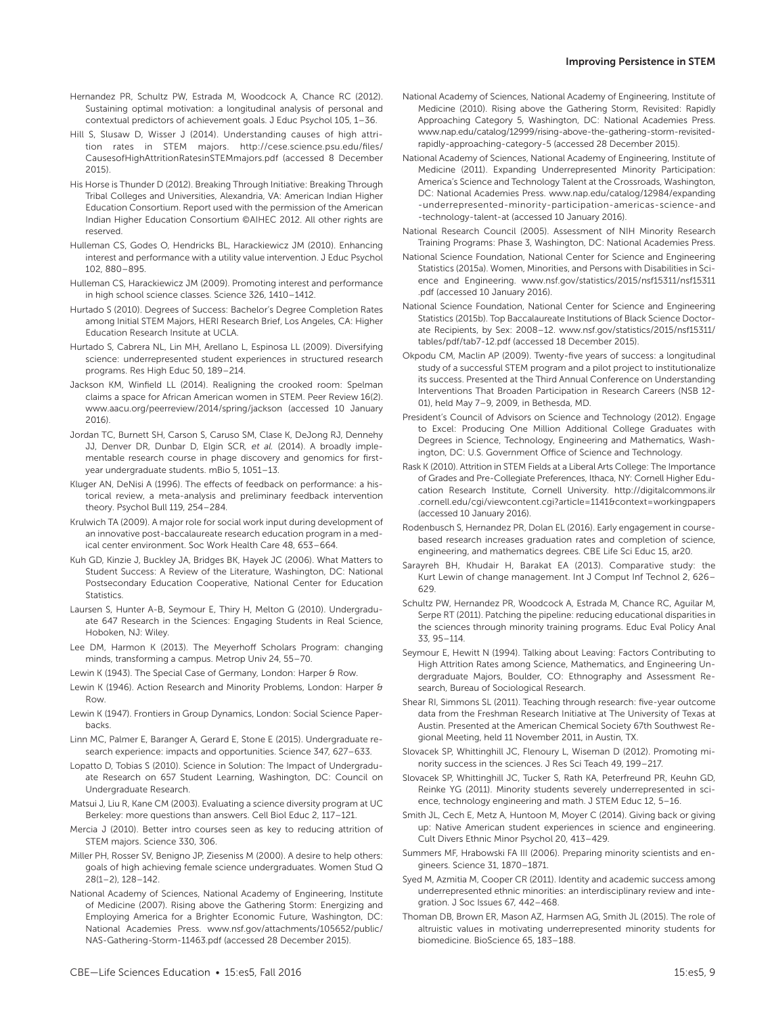- Hernandez PR, Schultz PW, Estrada M, Woodcock A, Chance RC (2012). Sustaining optimal motivation: a longitudinal analysis of personal and contextual predictors of achievement goals. J Educ Psychol 105, 1–36.
- Hill S, Slusaw D, Wisser J (2014). Understanding causes of high attrition rates in STEM majors. [http://cese.science.psu.edu/files/](http://cese.science.psu.edu/files/CausesofHighAttritionRatesinSTEMmajors.pdf) [CausesofHighAttritionRatesinSTEMmajors.pdf](http://cese.science.psu.edu/files/CausesofHighAttritionRatesinSTEMmajors.pdf) (accessed 8 December 2015).
- His Horse is Thunder D (2012). Breaking Through Initiative: Breaking Through Tribal Colleges and Universities, Alexandria, VA: American Indian Higher Education Consortium. Report used with the permission of the American Indian Higher Education Consortium ©AIHEC 2012. All other rights are reserved.
- Hulleman CS, Godes O, Hendricks BL, Harackiewicz JM (2010). Enhancing interest and performance with a utility value intervention. J Educ Psychol 102, 880–895.
- Hulleman CS, Harackiewicz JM (2009). Promoting interest and performance in high school science classes. Science 326, 1410–1412.
- Hurtado S (2010). Degrees of Success: Bachelor's Degree Completion Rates among Initial STEM Majors, HERI Research Brief, Los Angeles, CA: Higher Education Research Insitute at UCLA.
- Hurtado S, Cabrera NL, Lin MH, Arellano L, Espinosa LL (2009). Diversifying science: underrepresented student experiences in structured research programs. Res High Educ 50, 189–214.
- Jackson KM, Winfield LL (2014). Realigning the crooked room: Spelman claims a space for African American women in STEM. Peer Review 16(2). www.aacu.org/peerreview/2014/spring/jackson (accessed 10 January 2016).
- Jordan TC, Burnett SH, Carson S, Caruso SM, Clase K, DeJong RJ, Dennehy JJ, Denver DR, Dunbar D, Elgin SCR*, et al.* (2014). A broadly implementable research course in phage discovery and genomics for firstyear undergraduate students. mBio 5, 1051–13.
- Kluger AN, DeNisi A (1996). The effects of feedback on performance: a historical review, a meta-analysis and preliminary feedback intervention theory. Psychol Bull 119, 254–284.
- Krulwich TA (2009). A major role for social work input during development of an innovative post-baccalaureate research education program in a medical center environment. Soc Work Health Care 48, 653–664.
- Kuh GD, Kinzie J, Buckley JA, Bridges BK, Hayek JC (2006). What Matters to Student Success: A Review of the Literature, Washington, DC: National Postsecondary Education Cooperative, National Center for Education Statistics.
- Laursen S, Hunter A-B, Seymour E, Thiry H, Melton G (2010). Undergraduate 647 Research in the Sciences: Engaging Students in Real Science, Hoboken, NJ: Wiley.
- Lee DM, Harmon K (2013). The Meyerhoff Scholars Program: changing minds, transforming a campus. Metrop Univ 24, 55–70.
- Lewin K (1943). The Special Case of Germany, London: Harper & Row.
- Lewin K (1946). Action Research and Minority Problems, London: Harper & Row.
- Lewin K (1947). Frontiers in Group Dynamics, London: Social Science Paperbacks.
- Linn MC, Palmer E, Baranger A, Gerard E, Stone E (2015). Undergraduate research experience: impacts and opportunities. Science 347, 627–633.
- Lopatto D, Tobias S (2010). Science in Solution: The Impact of Undergraduate Research on 657 Student Learning, Washington, DC: Council on Undergraduate Research.
- Matsui J, Liu R, Kane CM (2003). Evaluating a science diversity program at UC Berkeley: more questions than answers. Cell Biol Educ 2, 117–121.
- Mercia J (2010). Better intro courses seen as key to reducing attrition of STEM majors. Science 330, 306.
- Miller PH, Rosser SV, Benigno JP, Zieseniss M (2000). A desire to help others: goals of high achieving female science undergraduates. Women Stud Q 28(1–2), 128–142.
- National Academy of Sciences, National Academy of Engineering, Institute of Medicine (2007). Rising above the Gathering Storm: Energizing and Employing America for a Brighter Economic Future, Washington, DC: National Academies Press. www.nsf.gov/attachments/105652/public/ NAS-Gathering-Storm-11463.pdf (accessed 28 December 2015).
- National Academy of Sciences, National Academy of Engineering, Institute of Medicine (2011). Expanding Underrepresented Minority Participation: America's Science and Technology Talent at the Crossroads, Washington, DC: National Academies Press. [www.nap.edu/catalog/12984/expanding](http://www.nap.edu/catalog/12984/expanding -underrepresented-minority-participation-americas-science-and -technology-talent-at) [-underrepresented-minority-participation-americas-science-and](http://www.nap.edu/catalog/12984/expanding -underrepresented-minority-participation-americas-science-and -technology-talent-at) [-technology-talent-at](http://www.nap.edu/catalog/12984/expanding -underrepresented-minority-participation-americas-science-and -technology-talent-at) (accessed 10 January 2016).
- National Research Council (2005). Assessment of NIH Minority Research Training Programs: Phase 3, Washington, DC: National Academies Press.
- National Science Foundation, National Center for Science and Engineering Statistics (2015a). Women, Minorities, and Persons with Disabilities in Science and Engineering. www.nsf.gov/statistics/2015/nsf15311/nsf15311 .pdf (accessed 10 January 2016).
- National Science Foundation, National Center for Science and Engineering Statistics (2015b). Top Baccalaureate Institutions of Black Science Doctorate Recipients, by Sex: 2008–12. www.nsf.gov/statistics/2015/nsf15311/ tables/pdf/tab7-12.pdf (accessed 18 December 2015).
- Okpodu CM, Maclin AP (2009). Twenty-five years of success: a longitudinal study of a successful STEM program and a pilot project to institutionalize its success. Presented at the Third Annual Conference on Understanding Interventions That Broaden Participation in Research Careers (NSB 12- 01), held May 7–9, 2009, in Bethesda, MD.
- President's Council of Advisors on Science and Technology (2012). Engage to Excel: Producing One Million Additional College Graduates with Degrees in Science, Technology, Engineering and Mathematics, Washington, DC: U.S. Government Office of Science and Technology.
- Rask K (2010). Attrition in STEM Fields at a Liberal Arts College: The Importance of Grades and Pre-Collegiate Preferences, Ithaca, NY: Cornell Higher Education Research Institute, Cornell University. [http://digitalcommons.ilr](http://digitalcommons.ilr .cornell.edu/cgi/viewcontent.cgi?article=1141&context=workingpapers) [.cornell.edu/cgi/viewcontent.cgi?article=1141&context=workingpapers](http://digitalcommons.ilr .cornell.edu/cgi/viewcontent.cgi?article=1141&context=workingpapers) (accessed 10 January 2016).
- Rodenbusch S, Hernandez PR, Dolan EL (2016). Early engagement in coursebased research increases graduation rates and completion of science, engineering, and mathematics degrees. CBE Life Sci Educ 15, ar20.
- Sarayreh BH, Khudair H, Barakat EA (2013). Comparative study: the Kurt Lewin of change management. Int J Comput Inf Technol 2, 626– 629.
- Schultz PW, Hernandez PR, Woodcock A, Estrada M, Chance RC, Aguilar M, Serpe RT (2011). Patching the pipeline: reducing educational disparities in the sciences through minority training programs. Educ Eval Policy Anal 33, 95–114.
- Seymour E, Hewitt N (1994). Talking about Leaving: Factors Contributing to High Attrition Rates among Science, Mathematics, and Engineering Undergraduate Majors, Boulder, CO: Ethnography and Assessment Research, Bureau of Sociological Research.
- Shear RI, Simmons SL (2011). Teaching through research: five-year outcome data from the Freshman Research Initiative at The University of Texas at Austin. Presented at the American Chemical Society 67th Southwest Regional Meeting, held 11 November 2011, in Austin, TX.
- Slovacek SP, Whittinghill JC, Flenoury L, Wiseman D (2012). Promoting minority success in the sciences. J Res Sci Teach 49, 199–217.
- Slovacek SP, Whittinghill JC, Tucker S, Rath KA, Peterfreund PR, Keuhn GD, Reinke YG (2011). Minority students severely underrepresented in science, technology engineering and math. J STEM Educ 12, 5–16.
- Smith JL, Cech E, Metz A, Huntoon M, Moyer C (2014). Giving back or giving up: Native American student experiences in science and engineering. Cult Divers Ethnic Minor Psychol 20, 413–429.
- Summers MF, Hrabowski FA III (2006). Preparing minority scientists and engineers. Science 31, 1870–1871.
- Syed M, Azmitia M, Cooper CR (2011). Identity and academic success among underrepresented ethnic minorities: an interdisciplinary review and integration. J Soc Issues 67, 442–468.
- Thoman DB, Brown ER, Mason AZ, Harmsen AG, Smith JL (2015). The role of altruistic values in motivating underrepresented minority students for biomedicine. BioScience 65, 183–188.